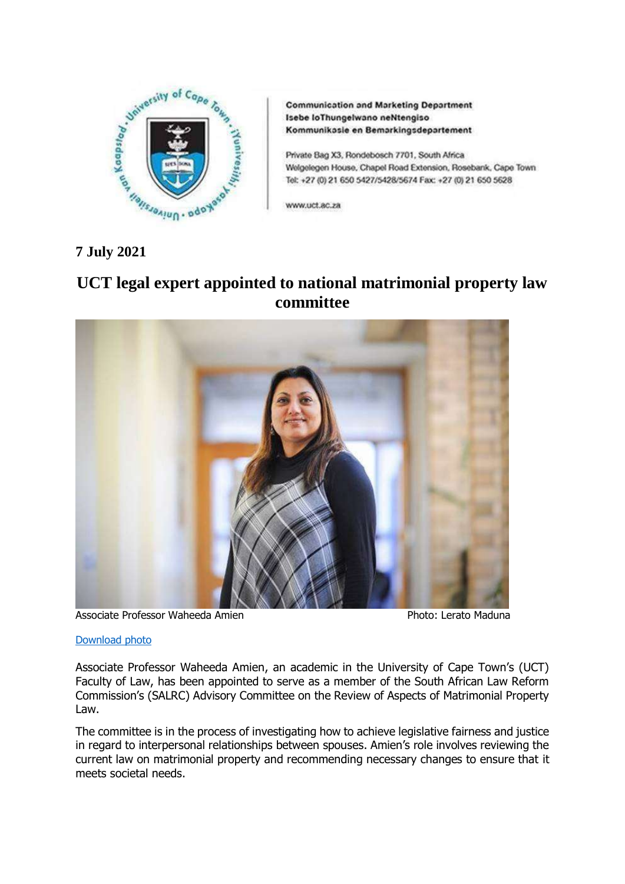

**Communication and Marketing Department** Isebe loThungelwano neNtengiso Kommunikasle en Bemarkingsdepartement

Private Bag X3, Rondebosch 7701, South Africa Welgelegen House, Chapel Road Extension, Rosebank, Cape Town Tel: +27 (0) 21 650 5427/5428/5674 Fax: +27 (0) 21 650 5628

www.uct.ac.za

**7 July 2021**

## **UCT legal expert appointed to national matrimonial property law committee**



Associate Professor Waheeda Amien Photo: Lerato Maduna

## [Download photo](https://drive.google.com/file/d/1X-f_rd2RNKzSi0h9tLwn-co3wJi_Uxk1/view?usp=sharing)

Associate Professor Waheeda Amien, an academic in the University of Cape Town's (UCT) Faculty of Law, has been appointed to serve as a member of the South African Law Reform Commission's (SALRC) Advisory Committee on the Review of Aspects of Matrimonial Property Law.

The committee is in the process of investigating how to achieve legislative fairness and justice in regard to interpersonal relationships between spouses. Amien's role involves reviewing the current law on matrimonial property and recommending necessary changes to ensure that it meets societal needs.